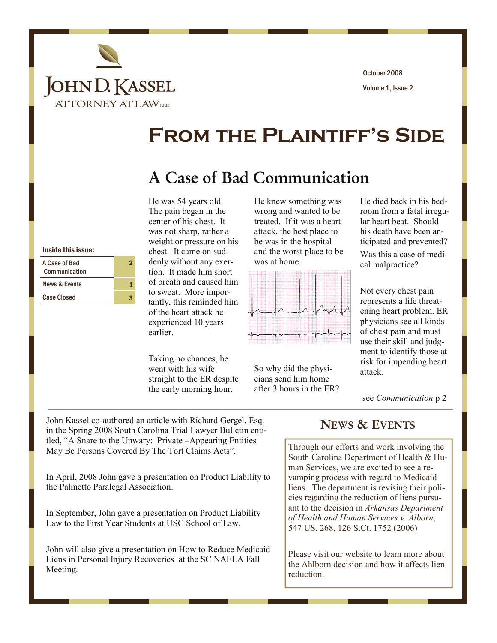

Volume 1, Issue 2 October 2008

# **From the Plaintiff's Side**

## A Case of Bad Communication

#### Inside this issue:

| A Case of Bad<br>Communication |  |
|--------------------------------|--|
| <b>News &amp; Events</b>       |  |
| <b>Case Closed</b>             |  |

He was 54 years old. The pain began in the center of his chest. It was not sharp, rather a weight or pressure on his chest. It came on suddenly without any exertion. It made him short of breath and caused him to sweat. More importantly, this reminded him of the heart attack he experienced 10 years earlier.

Taking no chances, he went with his wife straight to the ER despite the early morning hour.

He knew something was wrong and wanted to be treated. If it was a heart attack, the best place to be was in the hospital and the worst place to be was at home.



So why did the physicians send him home after 3 hours in the ER? He died back in his bedroom from a fatal irregular heart beat. Should his death have been anticipated and prevented? Was this a case of medical malpractice?

Not every chest pain represents a life threatening heart problem. ER physicians see all kinds of chest pain and must use their skill and judgment to identify those at risk for impending heart attack.

see *Communication* p 2

John Kassel co-authored an article with Richard Gergel, Esq. in the Spring 2008 South Carolina Trial Lawyer Bulletin entitled, "A Snare to the Unwary: Private –Appearing Entities May Be Persons Covered By The Tort Claims Acts".

In April, 2008 John gave a presentation on Product Liability to the Palmetto Paralegal Association.

In September, John gave a presentation on Product Liability Law to the First Year Students at USC School of Law.

John will also give a presentation on How to Reduce Medicaid Liens in Personal Injury Recoveries at the SC NAELA Fall Meeting.

### NEWS & EVENTS

Through our efforts and work involving the South Carolina Department of Health & Human Services, we are excited to see a revamping process with regard to Medicaid liens. The department is revising their policies regarding the reduction of liens pursuant to the decision in *Arkansas Department of Health and Human Services v. Alborn*, 547 US, 268, 126 S.Ct. 1752 (2006)

Please visit our website to learn more about the Ahlborn decision and how it affects lien reduction.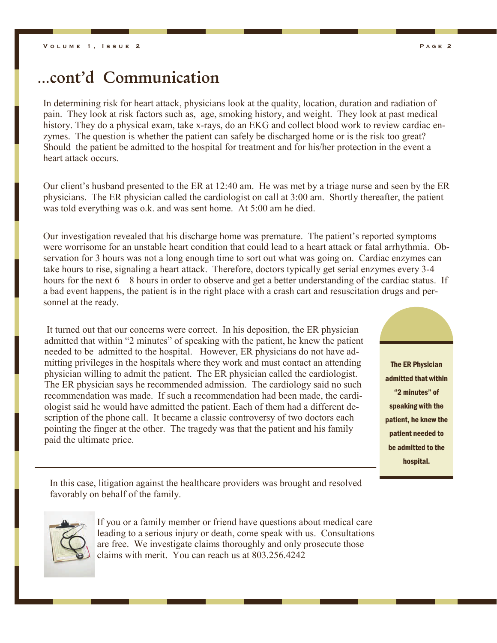## ...cont'd Communication

In determining risk for heart attack, physicians look at the quality, location, duration and radiation of pain. They look at risk factors such as, age, smoking history, and weight. They look at past medical history. They do a physical exam, take x-rays, do an EKG and collect blood work to review cardiac enzymes. The question is whether the patient can safely be discharged home or is the risk too great? Should the patient be admitted to the hospital for treatment and for his/her protection in the event a heart attack occurs.

Our client's husband presented to the ER at 12:40 am. He was met by a triage nurse and seen by the ER physicians. The ER physician called the cardiologist on call at 3:00 am. Shortly thereafter, the patient was told everything was o.k. and was sent home. At 5:00 am he died.

Our investigation revealed that his discharge home was premature. The patient's reported symptoms were worrisome for an unstable heart condition that could lead to a heart attack or fatal arrhythmia. Observation for 3 hours was not a long enough time to sort out what was going on. Cardiac enzymes can take hours to rise, signaling a heart attack. Therefore, doctors typically get serial enzymes every 3-4 hours for the next 6—8 hours in order to observe and get a better understanding of the cardiac status. If a bad event happens, the patient is in the right place with a crash cart and resuscitation drugs and personnel at the ready.

 It turned out that our concerns were correct. In his deposition, the ER physician admitted that within "2 minutes" of speaking with the patient, he knew the patient needed to be admitted to the hospital. However, ER physicians do not have admitting privileges in the hospitals where they work and must contact an attending physician willing to admit the patient. The ER physician called the cardiologist. The ER physician says he recommended admission. The cardiology said no such recommendation was made. If such a recommendation had been made, the cardiologist said he would have admitted the patient. Each of them had a different description of the phone call. It became a classic controversy of two doctors each pointing the finger at the other. The tragedy was that the patient and his family paid the ultimate price.

The ER Physician admitted that within "2 minutes" of speaking with the patient, he knew the patient needed to be admitted to the

hospital.

In this case, litigation against the healthcare providers was brought and resolved favorably on behalf of the family.



If you or a family member or friend have questions about medical care leading to a serious injury or death, come speak with us. Consultations are free. We investigate claims thoroughly and only prosecute those claims with merit. You can reach us at 803.256.4242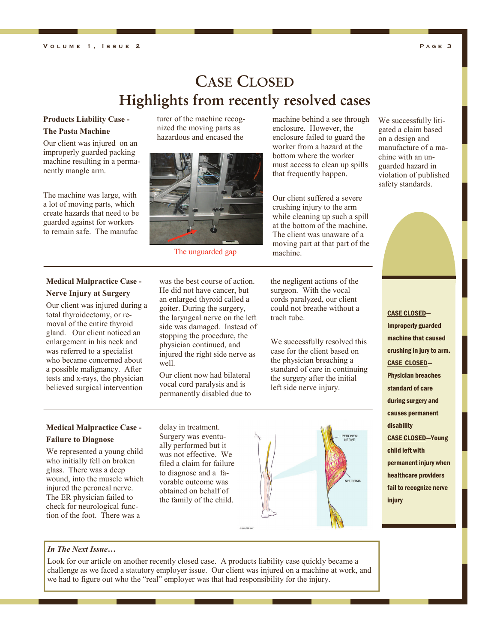## CASE CLOSED Highlights from recently resolved cases

## **Products Liability Case -**

#### **The Pasta Machine**

Our client was injured on an improperly guarded packing machine resulting in a permanently mangle arm.

The machine was large, with a lot of moving parts, which create hazards that need to be guarded against for workers to remain safe. The manufac

#### **Medical Malpractice Case - Nerve Injury at Surgery**

Our client was injured during a total thyroidectomy, or removal of the entire thyroid gland. Our client noticed an enlargement in his neck and was referred to a specialist who became concerned about a possible malignancy. After tests and x-rays, the physician believed surgical intervention

turer of the machine recognized the moving parts as hazardous and encased the



The unguarded gap

was the best course of action. He did not have cancer, but an enlarged thyroid called a goiter. During the surgery, the laryngeal nerve on the left side was damaged. Instead of stopping the procedure, the physician continued, and injured the right side nerve as well.

Our client now had bilateral vocal cord paralysis and is permanently disabled due to machine behind a see through enclosure. However, the enclosure failed to guard the worker from a hazard at the bottom where the worker must access to clean up spills that frequently happen.

Our client suffered a severe crushing injury to the arm while cleaning up such a spill at the bottom of the machine. The client was unaware of a moving part at that part of the machine.

the negligent actions of the surgeon. With the vocal cords paralyzed, our client could not breathe without a trach tube.

We successfully resolved this case for the client based on the physician breaching a standard of care in continuing the surgery after the initial left side nerve injury.



We successfully litigated a claim based on a design and manufacture of a machine with an unguarded hazard in violation of published safety standards.



CASE CLOSED— Improperly guarded machine that caused crushing in jury to arm. CASE CLOSED— Physician breaches standard of care during surgery and causes permanent disability CASE CLOSED—Young child left with permanent injury when healthcare providers fail to recognize nerve injury

### **Medical Malpractice Case -**

#### **Failure to Diagnose**

We represented a young child who initially fell on broken glass. There was a deep wound, into the muscle which injured the peroneal nerve. The ER physician failed to check for neurological function of the foot. There was a

delay in treatment. Surgery was eventually performed but it was not effective. We filed a claim for failure to diagnose and a favorable outcome was obtained on behalf of the family of the child.



*In The Next Issue…* 

Look for our article on another recently closed case. A products liability case quickly became a challenge as we faced a statutory employer issue. Our client was injured on a machine at work, and we had to figure out who the "real" employer was that had responsibility for the injury.